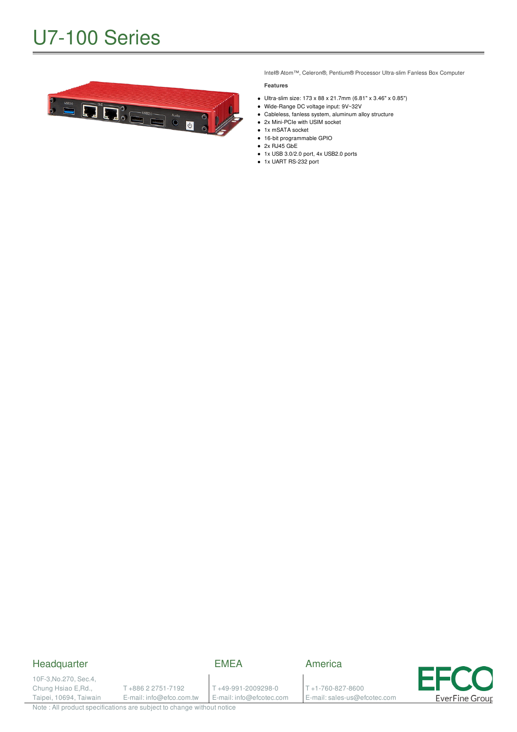

Intel® Atom™, Celeron®, Pentium® Processor Ultra-slim Fanless Box Computer

#### **Features**

- Ultra-slim size: 173 x 88 x 21.7mm (6.81" x 3.46" x 0.85")
- Wide-Range DC voltage input: 9V~32V
- Cableless, fanless system, aluminum alloy structure
- 2x Mini-PCIe with USIM socket
- 1x mSATA socket 16-bit programmable GPIO
- $\bullet$  2x RJ45 GbE
- 1x USB 3.0/2.0 port, 4x USB2.0 ports
- 1x UART RS-232 port

#### Headquarter

#### EMEA

10F-3,No.270, Sec.4, Chung Hsiao E,Rd., Taipei, 10694, Taiwain

T +886 2 2751-7192 E-mail: info@efco.com.tw T +49-991-2009298-0 E-mail: info@efcotec.com T +1-760-827-8600

E-mail: sales-us@efcotec.com

America

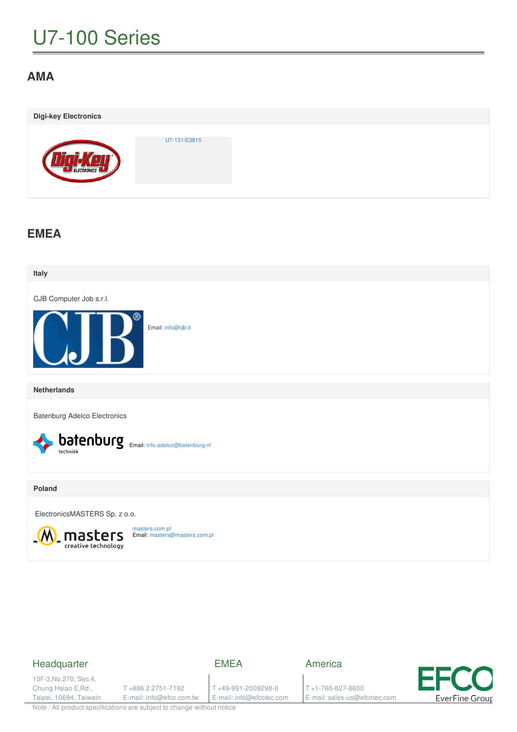# U7-100 Series

## **AMA**

| <b>Digi-key Electronics</b> |              |  |
|-----------------------------|--------------|--|
| ELECTRONICS                 | U7-131/E3815 |  |

### **EMEA**



#### Headquarter

EMEA

10F-3,No.270, Sec.4, Chung Hsiao E,Rd., Taipei, 10694, Taiwain

T +886 2 2751-7192 E-mail: info@efco.com.tw

T +49-991-2009298-0 E-mail: info@efcotec.com America

T +1-760-827-8600 E-mail: sales-us@efcotec.com

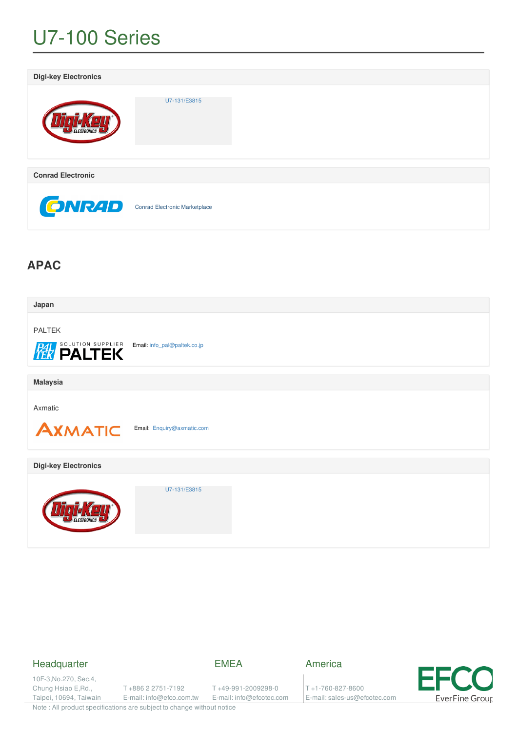# U7-100 Series



### **APAC**

| Japan                                         |                              |
|-----------------------------------------------|------------------------------|
| <b>PALTEK</b><br><b>PAL SOLUTION SUPPLIER</b> | Email: info_pal@paltek.co.jp |
| <b>Malaysia</b>                               |                              |
| Axmatic<br><b>AXMATIC</b>                     | Email: Enquiry@axmatic.com   |
| <b>Digi-key Electronics</b>                   |                              |
|                                               | U7-131/E3815                 |